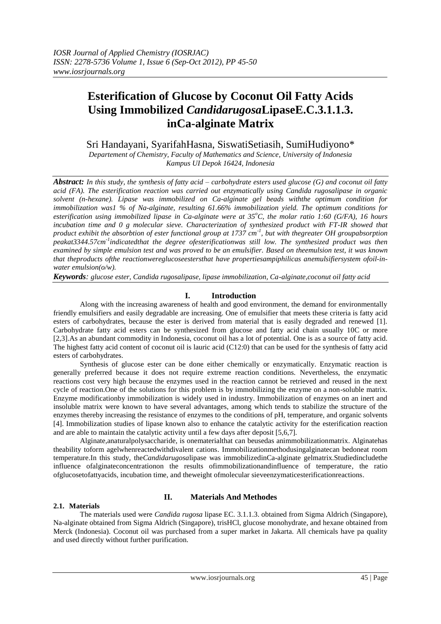# **Esterification of Glucose by Coconut Oil Fatty Acids Using Immobilized** *Candidarugosa***LipaseE.C.3.1.1.3. inCa-alginate Matrix**

Sri Handayani, SyarifahHasna, SiswatiSetiasih, SumiHudiyono\*

*Departement of Chemistry, Faculty of Mathematics and Science, University of Indonesia Kampus UI Depok 16424, Indonesia*

*Abstract: In this study, the synthesis of fatty acid – carbohydrate esters used glucose (G) and coconut oil fatty acid (FA). The esterification reaction was carried out enzymatically using Candida rugosalipase in organic solvent (n-hexane). Lipase was immobilized on Ca-alginate gel beads withthe optimum condition for immobilization was1 % of Na-alginate, resulting 61.66% immobilization yield. The optimum conditions for esterification using immobilized lipase in Ca-alginate were at 35<sup>o</sup>C, the molar ratio 1:60 (G/FA), 16 hours incubation time and 0 g molecular sieve. Characterization of synthesized product with FT-IR showed that product exhibit the absorbtion of ester functional group at 1737 cm-1 , but with thegreater OH groupabsorption peakat3344.57cm-1 indicatedthat the degree ofesterificationwas still low. The synthesized product was then examined by simple emulsion test and was proved to be an emulsifier. Based on theemulsion test, it was known that theproducts ofthe reactionwereglucoseestersthat have propertiesampiphilicas anemulsifiersystem ofoil-inwater emulsion(o/w).*

*Keywords: glucose ester, Candida rugosalipase, lipase immobilization, Ca-alginate,coconut oil fatty acid*

# **I. Introduction**

Along with the increasing awareness of health and good environment, the demand for environmentally friendly emulsifiers and easily degradable are increasing. One of emulsifier that meets these criteria is fatty acid esters of carbohydrates, because the ester is derived from material that is easily degraded and renewed [1]. Carbohydrate fatty acid esters can be synthesized from glucose and fatty acid chain usually 10C or more [2,3].As an abundant commodity in Indonesia, coconut oil has a lot of potential. One is as a source of fatty acid. The highest fatty acid content of coconut oil is lauric acid (C12:0) that can be used for the synthesis of fatty acid esters of carbohydrates.

Synthesis of glucose ester can be done either chemically or enzymatically. Enzymatic reaction is generally preferred because it does not require extreme reaction conditions. Nevertheless, the enzymatic reactions cost very high because the enzymes used in the reaction cannot be retrieved and reused in the next cycle of reaction. One of the solutions for this problem is by immobilizing the enzyme on a non-soluble matrix. Enzyme modificationby immobilization is widely used in industry. Immobilization of enzymes on an inert and insoluble matrix were known to have several advantages, among which tends to stabilize the structure of the enzymes thereby increasing the resistance of enzymes to the conditions of pH, temperature, and organic solvents [4]. Immobilization studies of lipase known also to enhance the catalytic activity for the esterification reaction and are able to maintain the catalytic activity until a few days after deposit [5,6,7].

Alginate,anaturalpolysaccharide, is onematerialthat can beusedas animmobilizationmatrix. Alginatehas theability toform agelwhenreactedwithdivalent cations. Immobilizationmethodusingalginatecan bedoneat room temperature.In this study, the*Candidarugosa*lipase was immobilizedinCa-alginate gelmatrix.Studiedincludethe influence ofalginateconcentrationon the results ofimmobilizationandinfluence of temperature, the ratio ofglucosetofattyacids, incubation time, and theweight ofmolecular sieveenzymaticesterificationreactions.

## **2.1. Materials**

# **II. Materials And Methodes**

The materials used were *Candida rugosa* lipase EC. 3.1.1.3. obtained from Sigma Aldrich (Singapore), Na-alginate obtained from Sigma Aldrich (Singapore), trisHCl, glucose monohydrate, and hexane obtained from Merck (Indonesia). Coconut oil was purchased from a super market in Jakarta. All chemicals have pa quality and used directly without further purification.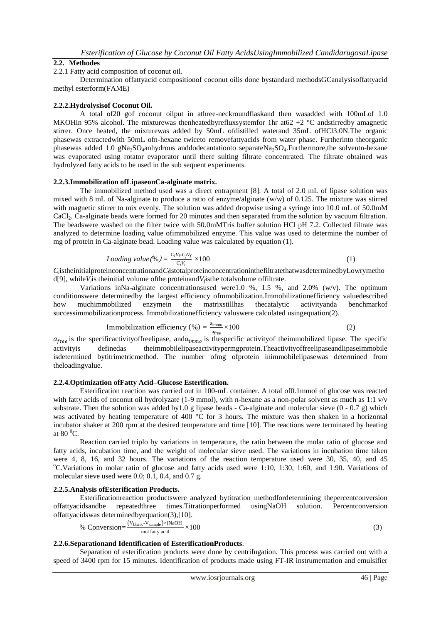# **2.2. Methodes**

2.2.1 Fatty acid composition of coconut oil.

Determination offattyacid compositionof coconut oilis done bystandard methodsGCanalysisoffattyacid methyl esterform(FAME)

#### **2.2.2.Hydrolysisof Coconut Oil.**

A total of20 gof coconut oilput in athree-neckroundflaskand then wasadded with 100mLof 1.0 MKOHin 95% alcohol. The mixturewas thenheatedbyrefluxsystemfor 1hr at 62 + 2  $^{\circ}$ C and stirred by amagnetic stirrer. Once heated, the mixturewas added by 50mL ofdistilled waterand 35mL ofHCl3.0N.The organic phasewas extractedwith 50mL ofn-hexane twiceto removefattyacids from water phase. Furtherinto theorganic phasewas added 1.0 gNa<sub>2</sub>SO<sub>4</sub>anhydrous anddodecantationto separateNa<sub>2</sub>SO<sub>4</sub>.Furthermore,the solventn-hexane was evaporated using rotator evaporator until there sulting filtrate concentrated. The filtrate obtained was hydrolyzed fatty acids to be used in the sub sequent experiments.

## **2.2.3.Immobilization ofLipaseonCa-alginate matrix.**

The immobilized method used was a direct entrapment [8]. A total of 2.0 mL of lipase solution was mixed with 8 mL of Na-alginate to produce a ratio of enzyme/alginate (w/w) of 0.125. The mixture was stirred with magnetic stirrer to mix evenly. The solution was added dropwise using a syringe into 10.0 mL of 50.0 mM CaCl2. Ca-alginate beads were formed for 20 minutes and then separated from the solution by vacuum filtration. The beadswere washed on the filter twice with 50.0mMTris buffer solution HCl pH 7.2. Collected filtrate was analyzed to determine loading value ofimmobilized enzyme. This value was used to determine the number of mg of protein in Ca-alginate bead. Loading value was calculated by equation (1).

$$
Loding value (\%) = \frac{C_i V_i - C_f V_f}{C_i V_i} \times 100 \tag{1}
$$

 $C_i$ istheinitialproteinconcentrationand $C_i$ istotalproteinconcentrationinthefiltratethatwasdeterminedbyLowrymetho d[9], while*V<sup>i</sup>* is theinitial volume ofthe proteinand*V<sup>f</sup>* isthe totalvolume offiltrate.

Variations inNa-alginate concentrationsused were1.0 %, 1.5 %, and 2.0% (w/v). The optimum conditionswere determinedby the largest efficiency ofmmobilization.Immobilizationefficiency valuedescribed how muchimmobilized enzymein the matrixstillhas thecatalytic activityanda benchmarkof successimmobilizationprocess. Immobilizationefficiency valuswere calculated usingequation(2).

Immobilization efficiency (
$$
\% = \frac{a_{\text{imm}}}{a_{\text{free}}} \times 100
$$
 (2)

 $a_{free}$  is the specificactivityoffreelipase, and  $a_{immo}$  is thespecific activity of theimmobilized lipase. The specific activityis definedas theimmobilelipaseactivitypermgprotein.Theactivityoffreelipaseandlipaseimmobile isdetermined bytitrimetricmethod. The number ofmg ofprotein inimmobilelipasewas determined from theloadingvalue.

## **2.2.4.Optimization ofFatty Acid–Glucose Esterification.**

Esterification reaction was carried out in 100-mL container. A total of0.1mmol of glucose was reacted with fatty acids of coconut oil hydrolyzate (1-9 mmol), with n-hexane as a non-polar solvent as much as 1:1 v/v substrate. Then the solution was added by 1.0 g lipase beads - Ca-alginate and molecular sieve  $(0 - 0.7 \text{ g})$  which was activated by heating temperature of 400 °C for 3 hours. The mixture was then shaken in a horizontal incubator shaker at 200 rpm at the desired temperature and time [10]. The reactions were terminated by heating at  $80\,^0$ C.

Reaction carried triplo by variations in temperature, the ratio between the molar ratio of glucose and fatty acids, incubation time, and the weight of molecular sieve used. The variations in incubation time taken were 4, 8, 16, and 32 hours. The variations of the reaction temperature used were 30, 35, 40, and 45  $\rm{^oC.V}$ ariations in molar ratio of glucose and fatty acids used were 1:10, 1:30, 1:60, and 1:90. Variations of molecular sieve used were 0.0; 0.1, 0.4, and 0.7 g.

## **2.2.5.Analysis ofEsterification Products.**

Esterificationreaction productswere analyzed bytitration methodfordetermining thepercentconversion offattyacidsandbe repeatedthree times.Titrationperformed usingNaOH solution. Percentconversion offattyacidswas determinedbyequation(3),[10].

% Conversion=
$$
\frac{(V_{\text{blank}} - V_{\text{sample}}) \times [NaOH]}{\text{mol fatty acid}} \times 100
$$
\n(3)

## **2.2.6.Separationand Identification of EsterificationProducts**.

Separation of esterification products were done by centrifugation. This process was carried out with a speed of 3400 rpm for 15 minutes. Identification of products made using FT-IR instrumentation and emulsifier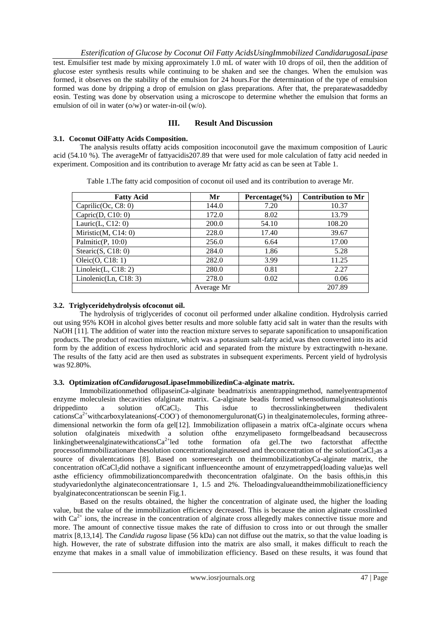*Esterification of Glucose by Coconut Oil Fatty AcidsUsingImmobilized CandidarugosaLipase* test. Emulsifier test made by mixing approximately 1.0 mL of water with 10 drops of oil, then the addition of glucose ester synthesis results while continuing to be shaken and see the changes. When the emulsion was formed, it observes on the stability of the emulsion for 24 hours.For the determination of the type of emulsion formed was done by dripping a drop of emulsion on glass preparations. After that, the preparatewasaddedby eosin. Testing was done by observation using a microscope to determine whether the emulsion that forms an emulsion of oil in water (o/w) or water-in-oil (w/o).

# **III. Result And Discussion**

## **3.1. Coconut OilFatty Acids Composition.**

The analysis results offatty acids composition incoconutoil gave the maximum composition of Lauric acid (54.10 %). The averageMr of fattyacidis207.89 that were used for mole calculation of fatty acid needed in experiment. Composition and its contribution to average Mr fatty acid as can be seen at Table 1.

| <b>Fatty Acid</b>       | Mr         | Percentage $(\% )$ | <b>Contribution to Mr</b> |
|-------------------------|------------|--------------------|---------------------------|
| Caprilic $(Oc, C8: 0)$  | 144.0      | 7.20               | 10.37                     |
| Capric $(D, C10: 0)$    | 172.0      | 8.02               | 13.79                     |
| Lauric $(L, C12: 0)$    | 200.0      | 54.10              | 108.20                    |
| Miristic(M, C14: 0)     | 228.0      | 17.40              | 39.67                     |
| Palmitic $(P, 10:0)$    | 256.0      | 6.64               | 17.00                     |
| Stearic $(S, C18: 0)$   | 284.0      | 1.86               | 5.28                      |
| Oleic(O, C18: 1)        | 282.0      | 3.99               | 11.25                     |
| Linoleic $(L, C18: 2)$  | 280.0      | 0.81               | 2.27                      |
| Linolenic(Ln, $C18:3$ ) | 278.0      | 0.02               | 0.06                      |
|                         | Average Mr |                    | 207.89                    |

Table 1.The fatty acid composition of coconut oil used and its contribution to average Mr.

# **3.2. Triglyceridehydrolysis ofcoconut oil.**

The hydrolysis of triglycerides of coconut oil performed under alkaline condition. Hydrolysis carried out using 95% KOH in alcohol gives better results and more soluble fatty acid salt in water than the results with NaOH [11]. The addition of water into the reaction mixture serves to separate saponification to unsaponification products. The product of reaction mixture, which was a potassium salt-fatty acid,was then converted into its acid form by the addition of excess hydrochloric acid and separated from the mixture by extractingwith n-hexane. The results of the fatty acid are then used as substrates in subsequent experiments. Percent yield of hydrolysis was 92.80%.

# **3.3. Optimization of***Candidarugosa***LipaseImmobilizedinCa-alginate matrix.**

Immobilizationmethod oflipaseinCa-alginate beadmatrixis anentrappingmethod, namelyentrapmentof enzyme moleculesin thecavities ofalginate matrix. Ca-alginate beadis formed whensodiumalginatesolutionis drippedinto a solution of CaCl<sub>2</sub>. This isdue to the crosslinking between the divalent cations $Ca^{2+}$ withcarboxylateanions(-COO) of themonomerguluronat(G) in thealginatemolecules, forming athreedimensional networkin the form ofa gel[12]. Immobilization oflipasein a matrix ofCa-alginate occurs whena solution ofalginateis mixedwith a solution ofthe enzymelipaseto formgelbeadsand becausecross linkingbetweenalginatewithcations $Ca^{2+}$ led tothe formation ofa gel. The two factorsthat affectthe processofimmobilizationare thesolution concentrationalginateused and theconcentration of the solutionCaCl<sub>2</sub>as a source of divalentcations [8]. Based on someresearch on theimmobilizationbyCa-alginate matrix, the concentration ofCaCl<sub>2</sub>did nothave a significant influenceonthe amount of enzymetrapped(loading value)as well asthe efficiency ofimmobilizationcomparedwith theconcentration ofalginate. On the basis ofthis,in this studyvariedonlythe alginateconcentrationsare 1, 1.5 and 2%. Theloadingvalueandtheimmobilizationefficiency byalginateconcentrationscan be seenin Fig.1.

Based on the results obtained, the higher the concentration of alginate used, the higher the loading value, but the value of the immobilization efficiency decreased. This is because the anion alginate crosslinked with  $Ca^{2+}$  ions, the increase in the concentration of alginate cross allegedly makes connective tissue more and more. The amount of connective tissue makes the rate of diffusion to cross into or out through the smaller matrix [8,13,14]. The *Candida rugosa* lipase (56 kDa) can not diffuse out the matrix, so that the value loading is high. However, the rate of substrate diffusion into the matrix are also small, it makes difficult to reach the enzyme that makes in a small value of immobilization efficiency. Based on these results, it was found that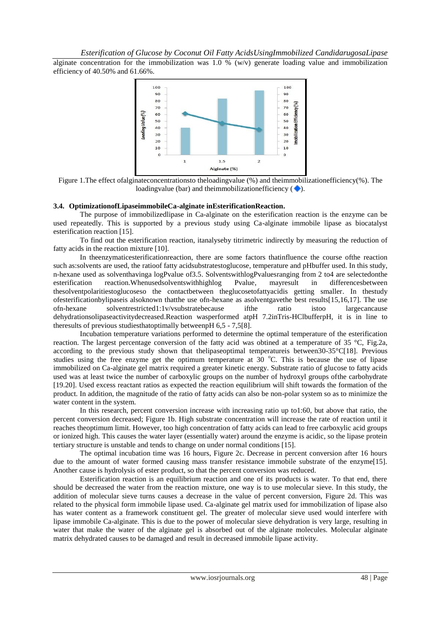alginate concentration for the immobilization was 1.0 %  $(w/v)$  generate loading value and immobilization efficiency of 40.50% and 61.66%.



Figure 1.The effect ofalginateconcentrationsto theloadingvalue (%) and theimmobilizationefficiency(%). The loadingvalue (bar) and theimmobilizationefficiency  $( \blacklozenge )$ .

#### **3.4. OptimizationofLipaseimmobileCa-alginate inEsterificationReaction.**

The purpose of immobilizedlipase in Ca-alginate on the esterification reaction is the enzyme can be used repeatedly. This is supported by a previous study using Ca-alginate immobile lipase as biocatalyst esterification reaction [15].

To find out the esterification reaction, itanalyseby titrimetric indirectly by measuring the reduction of fatty acids in the reaction mixture [10].

In theenzymaticesterificationreaction, there are some factors thatinfluence the course ofthe reaction such as:solvents are used, the ratioof fatty acidsubstratestoglucose, temperature and pHbuffer used. In this study, n-hexane used as solventhavinga logPvalue of3.5. SolventswithlogPvaluesranging from 2 to4 are selectedonthe esterification reaction.Whenusedsolventswithhighlog Pvalue, mayresult in differencesbetween thesolventpolaritiestoglucoseso the contactbetween theglucosetofattyacidis getting smaller. In thestudy ofesterificationbylipaseis alsoknown thatthe use ofn-hexane as asolventgavethe best results[15,16,17]. The use ofn-hexane solventrestricted1:1v/vsubstratebecause ifthe ratio istoo largecancause dehydrationsolipaseactivitydecreased.Reaction wasperformed atpH 7.2inTris-HClbufferpH, it is in line to theresults of previous studiesthatoptimally betweenpH 6,5 - 7,5[8].

Incubation temperature variations performed to determine the optimal temperature of the esterification reaction. The largest percentage conversion of the fatty acid was obtined at a temperature of 35 °C, Fig.2a, according to the previous study shown that thelipaseoptimal temperatureis between30-35°C[18]. Previous studies using the free enzyme get the optimum temperature at  $30^{\circ}$ C. This is because the use of lipase immobilized on Ca-alginate gel matrix required a greater kinetic energy. Substrate ratio of glucose to fatty acids used was at least twice the number of carboxylic groups on the number of hydroxyl groups ofthe carbohydrate [19.20]. Used excess reactant ratios as expected the reaction equilibrium will shift towards the formation of the product. In addition, the magnitude of the ratio of fatty acids can also be non-polar system so as to minimize the water content in the system.

In this research, percent conversion increase with increasing ratio up to1:60, but above that ratio, the percent conversion decreased; Figure 1b. High substrate concentration will increase the rate of reaction until it reaches theoptimum limit. However, too high concentration of fatty acids can lead to free carboxylic acid groups or ionized high. This causes the water layer (essentially water) around the enzyme is acidic, so the lipase protein tertiary structure is unstable and tends to change on under normal conditions [15].

The optimal incubation time was 16 hours, Figure 2c. Decrease in percent conversion after 16 hours due to the amount of water formed causing mass transfer resistance immobile substrate of the enzyme[15]. Another cause is hydrolysis of ester product, so that the percent conversion was reduced.

Esterification reaction is an equilibrium reaction and one of its products is water. To that end, there should be decreased the water from the reaction mixture, one way is to use molecular sieve. In this study, the addition of molecular sieve turns causes a decrease in the value of percent conversion, Figure 2d. This was related to the physical form immobile lipase used. Ca-alginate gel matrix used for immobilization of lipase also has water content as a framework constituent gel. The greater of molecular sieve used would interfere with lipase immobile Ca-alginate. This is due to the power of molecular sieve dehydration is very large, resulting in water that make the water of the alginate gel is absorbed out of the alginate molecules. Molecular alginate matrix dehydrated causes to be damaged and result in decreased immobile lipase activity.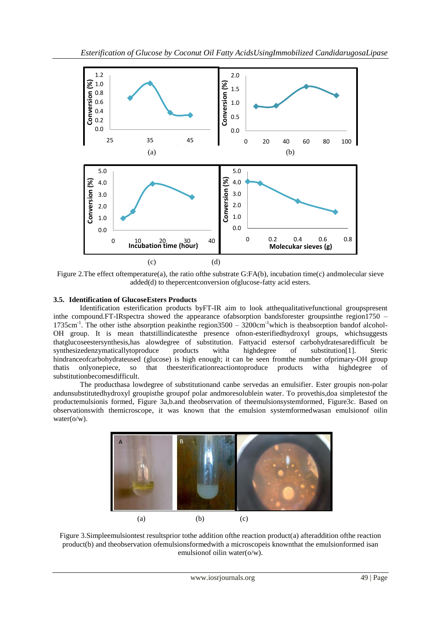

Figure 2. The effect oftemperature(a), the ratio of the substrate G:FA(b), incubation time(c) andmolecular sieve added(d) to thepercentconversion ofglucose-fatty acid esters.

# **3.5. Identification of GlucoseEsters Products**

Identification esterification products byFT-IR aim to look atthequalitativefunctional groupspresent inthe compound.FT-IRspectra showed the appearance ofabsorption bandsforester groupsinthe region1750 – 1735cm<sup>-1</sup>. The other isthe absorption peakinthe region3500 – 3200cm<sup>-1</sup>which is theabsorption bandof alcohol-OH group. It is mean thatstillindicatesthe presence ofnon-esterifiedhydroxyl groups, whichsuggests thatglucoseestersynthesis,has alowdegree of substitution. Fattyacid estersof carbohydratesaredifficult be synthesizedenzymaticallytoproduce products witha highdegree of substitution[1]. Steric hindranceofcarbohydrateused (glucose) is high enough; it can be seen fromthe number ofprimary-OH group thatis onlyonepiece, so that theesterificationreactiontoproduce products witha highdegree of substitutionbecomesdifficult.

The producthasa lowdegree of substitutionand canbe servedas an emulsifier. Ester groupis non-polar andunsubstitutedhydroxyl groupisthe groupof polar andmoresolublein water. To provethis,doa simpletestof the productemulsionis formed, Figure 3a,b.and theobservation of theemulsionsystemformed, Figure3c. Based on observationswith themicroscope, it was known that the emulsion systemformedwasan emulsionof oilin water( $o/w$ ).



Figure 3.Simpleemulsiontest resultsprior tothe addition ofthe reaction product(a) afteraddition ofthe reaction product(b) and theobservation ofemulsionsformedwith a microscopeis knownthat the emulsionformed isan emulsionof oilin water(o/w).